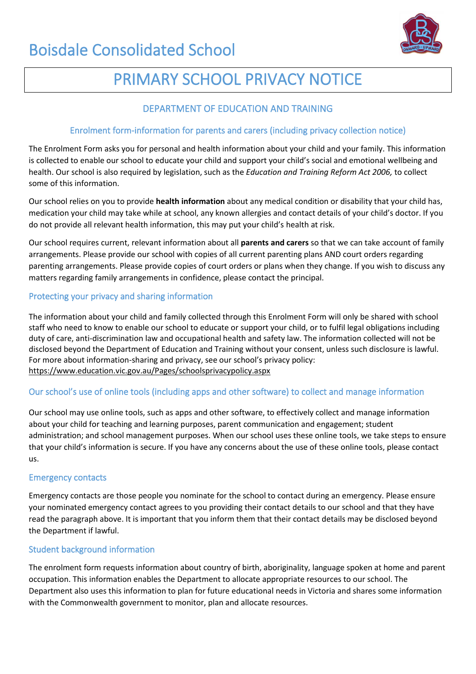

# PRIMARY SCHOOL PRIVACY NOTICE

# DEPARTMENT OF EDUCATION AND TRAINING

# Enrolment form-information for parents and carers (including privacy collection notice)

The Enrolment Form asks you for personal and health information about your child and your family. This information is collected to enable our school to educate your child and support your child's social and emotional wellbeing and health. Our school is also required by legislation, such as the *Education and Training Reform Act 2006,* to collect some of this information.

Our school relies on you to provide **health information** about any medical condition or disability that your child has, medication your child may take while at school, any known allergies and contact details of your child's doctor. If you do not provide all relevant health information, this may put your child's health at risk.

Our school requires current, relevant information about all **parents and carers** so that we can take account of family arrangements. Please provide our school with copies of all current parenting plans AND court orders regarding parenting arrangements. Please provide copies of court orders or plans when they change. If you wish to discuss any matters regarding family arrangements in confidence, please contact the principal.

## Protecting your privacy and sharing information

The information about your child and family collected through this Enrolment Form will only be shared with school staff who need to know to enable our school to educate or support your child, or to fulfil legal obligations including duty of care, anti-discrimination law and occupational health and safety law. The information collected will not be disclosed beyond the Department of Education and Training without your consent, unless such disclosure is lawful. For more about information-sharing and privacy, see our school's privacy policy: <https://www.education.vic.gov.au/Pages/schoolsprivacypolicy.aspx>

# Our school's use of online tools (including apps and other software) to collect and manage information

Our school may use online tools, such as apps and other software, to effectively collect and manage information about your child for teaching and learning purposes, parent communication and engagement; student administration; and school management purposes. When our school uses these online tools, we take steps to ensure that your child's information is secure. If you have any concerns about the use of these online tools, please contact us.

### Emergency contacts

Emergency contacts are those people you nominate for the school to contact during an emergency. Please ensure your nominated emergency contact agrees to you providing their contact details to our school and that they have read the paragraph above. It is important that you inform them that their contact details may be disclosed beyond the Department if lawful.

### Student background information

The enrolment form requests information about country of birth, aboriginality, language spoken at home and parent occupation. This information enables the Department to allocate appropriate resources to our school. The Department also uses this information to plan for future educational needs in Victoria and shares some information with the Commonwealth government to monitor, plan and allocate resources.